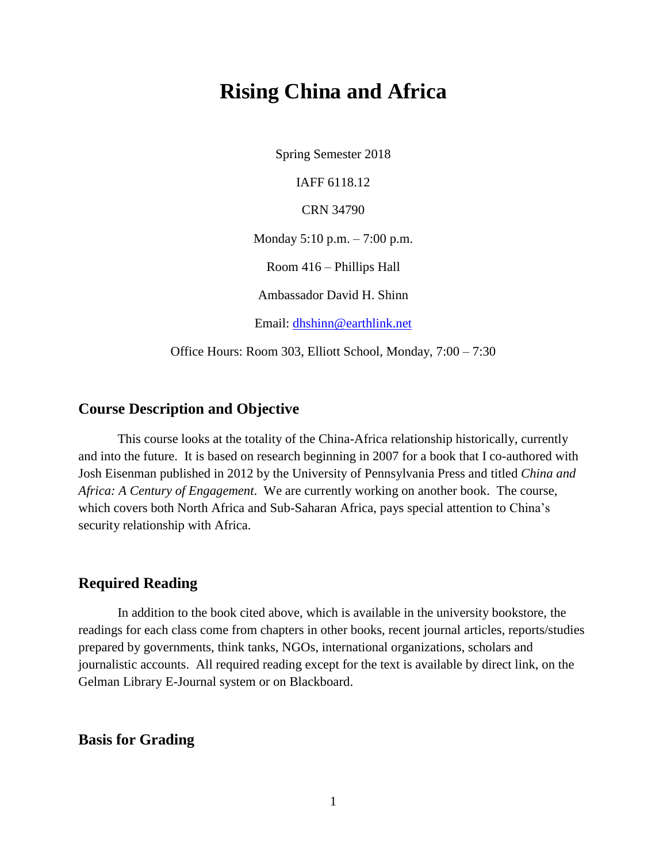# **Rising China and Africa**

Spring Semester 2018

IAFF 6118.12

CRN 34790

Monday 5:10 p.m. – 7:00 p.m.

Room 416 – Phillips Hall

Ambassador David H. Shinn

Email: [dhshinn@earthlink.net](mailto:dhshinn@earthlink.net)

Office Hours: Room 303, Elliott School, Monday, 7:00 – 7:30

# **Course Description and Objective**

This course looks at the totality of the China-Africa relationship historically, currently and into the future. It is based on research beginning in 2007 for a book that I co-authored with Josh Eisenman published in 2012 by the University of Pennsylvania Press and titled *China and Africa: A Century of Engagement*. We are currently working on another book. The course, which covers both North Africa and Sub-Saharan Africa, pays special attention to China's security relationship with Africa.

# **Required Reading**

In addition to the book cited above, which is available in the university bookstore, the readings for each class come from chapters in other books, recent journal articles, reports/studies prepared by governments, think tanks, NGOs, international organizations, scholars and journalistic accounts. All required reading except for the text is available by direct link, on the Gelman Library E-Journal system or on Blackboard.

# **Basis for Grading**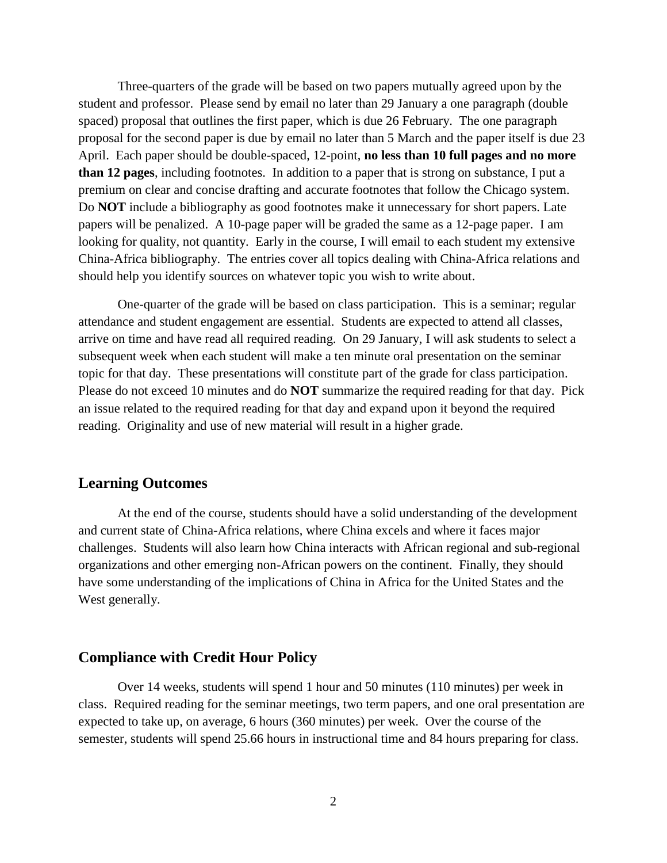Three-quarters of the grade will be based on two papers mutually agreed upon by the student and professor. Please send by email no later than 29 January a one paragraph (double spaced) proposal that outlines the first paper, which is due 26 February. The one paragraph proposal for the second paper is due by email no later than 5 March and the paper itself is due 23 April. Each paper should be double-spaced, 12-point, **no less than 10 full pages and no more than 12 pages**, including footnotes. In addition to a paper that is strong on substance, I put a premium on clear and concise drafting and accurate footnotes that follow the Chicago system. Do **NOT** include a bibliography as good footnotes make it unnecessary for short papers. Late papers will be penalized. A 10-page paper will be graded the same as a 12-page paper. I am looking for quality, not quantity. Early in the course, I will email to each student my extensive China-Africa bibliography. The entries cover all topics dealing with China-Africa relations and should help you identify sources on whatever topic you wish to write about.

One-quarter of the grade will be based on class participation. This is a seminar; regular attendance and student engagement are essential. Students are expected to attend all classes, arrive on time and have read all required reading. On 29 January, I will ask students to select a subsequent week when each student will make a ten minute oral presentation on the seminar topic for that day. These presentations will constitute part of the grade for class participation. Please do not exceed 10 minutes and do **NOT** summarize the required reading for that day. Pick an issue related to the required reading for that day and expand upon it beyond the required reading. Originality and use of new material will result in a higher grade.

# **Learning Outcomes**

At the end of the course, students should have a solid understanding of the development and current state of China-Africa relations, where China excels and where it faces major challenges. Students will also learn how China interacts with African regional and sub-regional organizations and other emerging non-African powers on the continent. Finally, they should have some understanding of the implications of China in Africa for the United States and the West generally.

## **Compliance with Credit Hour Policy**

Over 14 weeks, students will spend 1 hour and 50 minutes (110 minutes) per week in class. Required reading for the seminar meetings, two term papers, and one oral presentation are expected to take up, on average, 6 hours (360 minutes) per week. Over the course of the semester, students will spend 25.66 hours in instructional time and 84 hours preparing for class.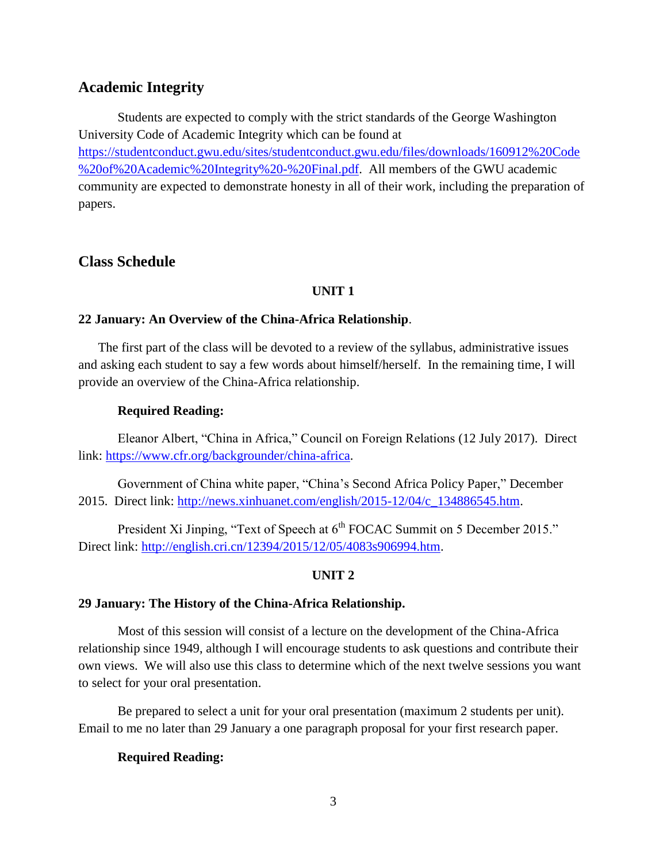# **Academic Integrity**

Students are expected to comply with the strict standards of the George Washington University Code of Academic Integrity which can be found at [https://studentconduct.gwu.edu/sites/studentconduct.gwu.edu/files/downloads/160912%20Code](https://studentconduct.gwu.edu/sites/studentconduct.gwu.edu/files/downloads/160912%20Code%20of%20Academic%20Integrity%20-%20Final.pdf) [%20of%20Academic%20Integrity%20-%20Final.pdf.](https://studentconduct.gwu.edu/sites/studentconduct.gwu.edu/files/downloads/160912%20Code%20of%20Academic%20Integrity%20-%20Final.pdf) All members of the GWU academic community are expected to demonstrate honesty in all of their work, including the preparation of papers.

# **Class Schedule**

# **UNIT 1**

#### **22 January: An Overview of the China-Africa Relationship**.

 The first part of the class will be devoted to a review of the syllabus, administrative issues and asking each student to say a few words about himself/herself. In the remaining time, I will provide an overview of the China-Africa relationship.

## **Required Reading:**

Eleanor Albert, "China in Africa," Council on Foreign Relations (12 July 2017). Direct link: [https://www.cfr.org/backgrounder/china-africa.](https://www.cfr.org/backgrounder/china-africa)

Government of China white paper, "China's Second Africa Policy Paper," December 2015. Direct link: [http://news.xinhuanet.com/english/2015-12/04/c\\_134886545.htm.](http://news.xinhuanet.com/english/2015-12/04/c_134886545.htm)

President Xi Jinping, "Text of Speech at 6<sup>th</sup> FOCAC Summit on 5 December 2015." Direct link: [http://english.cri.cn/12394/2015/12/05/4083s906994.htm.](http://english.cri.cn/12394/2015/12/05/4083s906994.htm)

# **UNIT 2**

#### **29 January: The History of the China-Africa Relationship.**

Most of this session will consist of a lecture on the development of the China-Africa relationship since 1949, although I will encourage students to ask questions and contribute their own views. We will also use this class to determine which of the next twelve sessions you want to select for your oral presentation.

Be prepared to select a unit for your oral presentation (maximum 2 students per unit). Email to me no later than 29 January a one paragraph proposal for your first research paper.

#### **Required Reading:**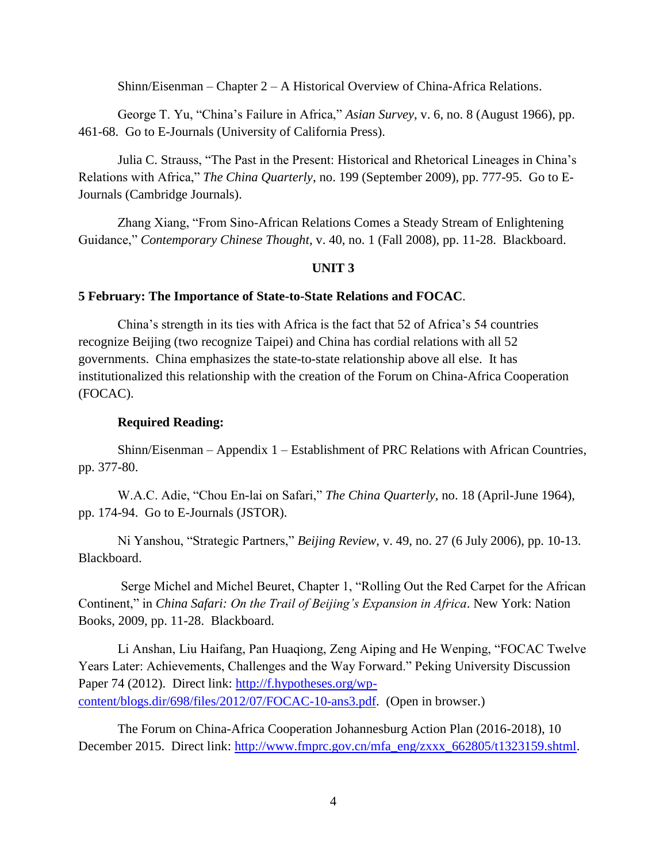Shinn/Eisenman – Chapter 2 – A Historical Overview of China-Africa Relations.

George T. Yu, "China's Failure in Africa," *Asian Survey*, v. 6, no. 8 (August 1966), pp. 461-68. Go to E-Journals (University of California Press).

Julia C. Strauss, "The Past in the Present: Historical and Rhetorical Lineages in China's Relations with Africa," *The China Quarterly*, no. 199 (September 2009), pp. 777-95. Go to E-Journals (Cambridge Journals).

Zhang Xiang, "From Sino-African Relations Comes a Steady Stream of Enlightening Guidance," *Contemporary Chinese Thought*, v. 40, no. 1 (Fall 2008), pp. 11-28. Blackboard.

# **UNIT 3**

#### **5 February: The Importance of State-to-State Relations and FOCAC**.

China's strength in its ties with Africa is the fact that 52 of Africa's 54 countries recognize Beijing (two recognize Taipei) and China has cordial relations with all 52 governments. China emphasizes the state-to-state relationship above all else. It has institutionalized this relationship with the creation of the Forum on China-Africa Cooperation (FOCAC).

## **Required Reading:**

Shinn/Eisenman – Appendix 1 – Establishment of PRC Relations with African Countries, pp. 377-80.

W.A.C. Adie, "Chou En-lai on Safari," *The China Quarterly*, no. 18 (April-June 1964), pp. 174-94. Go to E-Journals (JSTOR).

Ni Yanshou, "Strategic Partners," *Beijing Review*, v. 49, no. 27 (6 July 2006), pp. 10-13. Blackboard.

Serge Michel and Michel Beuret, Chapter 1, "Rolling Out the Red Carpet for the African Continent," in *China Safari: On the Trail of Beijing's Expansion in Africa*. New York: Nation Books, 2009, pp. 11-28. Blackboard.

Li Anshan, Liu Haifang, Pan Huaqiong, Zeng Aiping and He Wenping, "FOCAC Twelve Years Later: Achievements, Challenges and the Way Forward." Peking University Discussion Paper 74 (2012). Direct link: [http://f.hypotheses.org/wp](http://f.hypotheses.org/wp-content/blogs.dir/698/files/2012/07/FOCAC-10-ans3.pdf)[content/blogs.dir/698/files/2012/07/FOCAC-10-ans3.pdf.](http://f.hypotheses.org/wp-content/blogs.dir/698/files/2012/07/FOCAC-10-ans3.pdf) (Open in browser.)

The Forum on China-Africa Cooperation Johannesburg Action Plan (2016-2018), 10 December 2015. Direct link: [http://www.fmprc.gov.cn/mfa\\_eng/zxxx\\_662805/t1323159.shtml.](http://www.fmprc.gov.cn/mfa_eng/zxxx_662805/t1323159.shtml)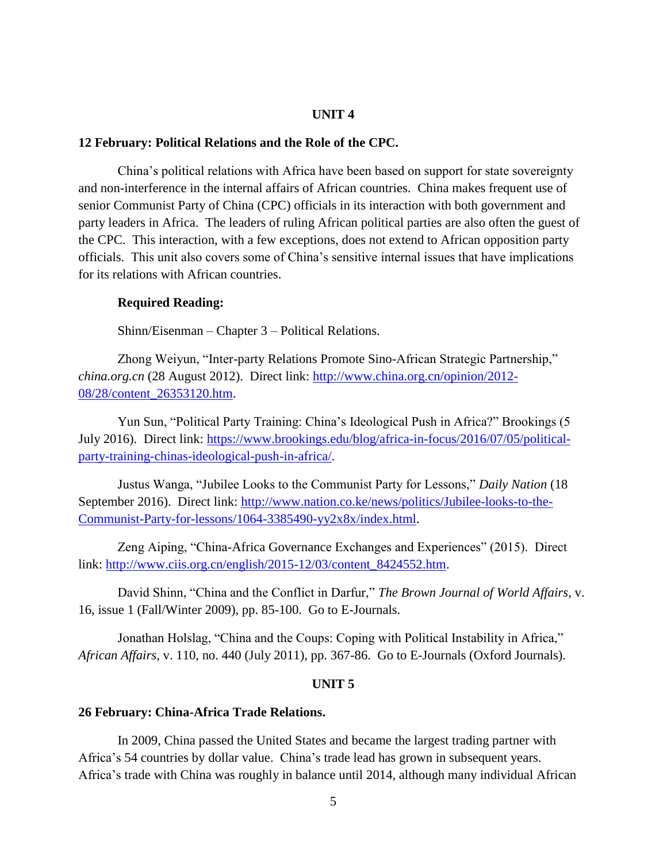#### **UNIT 4**

#### **12 February: Political Relations and the Role of the CPC.**

China's political relations with Africa have been based on support for state sovereignty and non-interference in the internal affairs of African countries. China makes frequent use of senior Communist Party of China (CPC) officials in its interaction with both government and party leaders in Africa. The leaders of ruling African political parties are also often the guest of the CPC. This interaction, with a few exceptions, does not extend to African opposition party officials. This unit also covers some of China's sensitive internal issues that have implications for its relations with African countries.

#### **Required Reading:**

Shinn/Eisenman – Chapter 3 – Political Relations.

Zhong Weiyun, "Inter-party Relations Promote Sino-African Strategic Partnership," *china.org.cn* (28 August 2012). Direct link: [http://www.china.org.cn/opinion/2012-](http://www.china.org.cn/opinion/2012-08/28/content_26353120.htm) [08/28/content\\_26353120.htm.](http://www.china.org.cn/opinion/2012-08/28/content_26353120.htm)

Yun Sun, "Political Party Training: China's Ideological Push in Africa?" Brookings (5 July 2016). Direct link: [https://www.brookings.edu/blog/africa-in-focus/2016/07/05/political](https://www.brookings.edu/blog/africa-in-focus/2016/07/05/political-party-training-chinas-ideological-push-in-africa/)[party-training-chinas-ideological-push-in-africa/.](https://www.brookings.edu/blog/africa-in-focus/2016/07/05/political-party-training-chinas-ideological-push-in-africa/)

Justus Wanga, "Jubilee Looks to the Communist Party for Lessons," *Daily Nation* (18 September 2016). Direct link: [http://www.nation.co.ke/news/politics/Jubilee-looks-to-the-](http://www.nation.co.ke/news/politics/Jubilee-looks-to-the-Communist-Party-for-lessons/1064-3385490-yy2x8x/index.html)[Communist-Party-for-lessons/1064-3385490-yy2x8x/index.html.](http://www.nation.co.ke/news/politics/Jubilee-looks-to-the-Communist-Party-for-lessons/1064-3385490-yy2x8x/index.html)

Zeng Aiping, "China-Africa Governance Exchanges and Experiences" (2015). Direct link: [http://www.ciis.org.cn/english/2015-12/03/content\\_8424552.htm.](http://www.ciis.org.cn/english/2015-12/03/content_8424552.htm)

David Shinn, "China and the Conflict in Darfur," *The Brown Journal of World Affairs*, v. 16, issue 1 (Fall/Winter 2009), pp. 85-100. Go to E-Journals.

Jonathan Holslag, "China and the Coups: Coping with Political Instability in Africa," *African Affairs*, v. 110, no. 440 (July 2011), pp. 367-86. Go to E-Journals (Oxford Journals).

#### **UNIT 5**

#### **26 February: China-Africa Trade Relations.**

In 2009, China passed the United States and became the largest trading partner with Africa's 54 countries by dollar value. China's trade lead has grown in subsequent years. Africa's trade with China was roughly in balance until 2014, although many individual African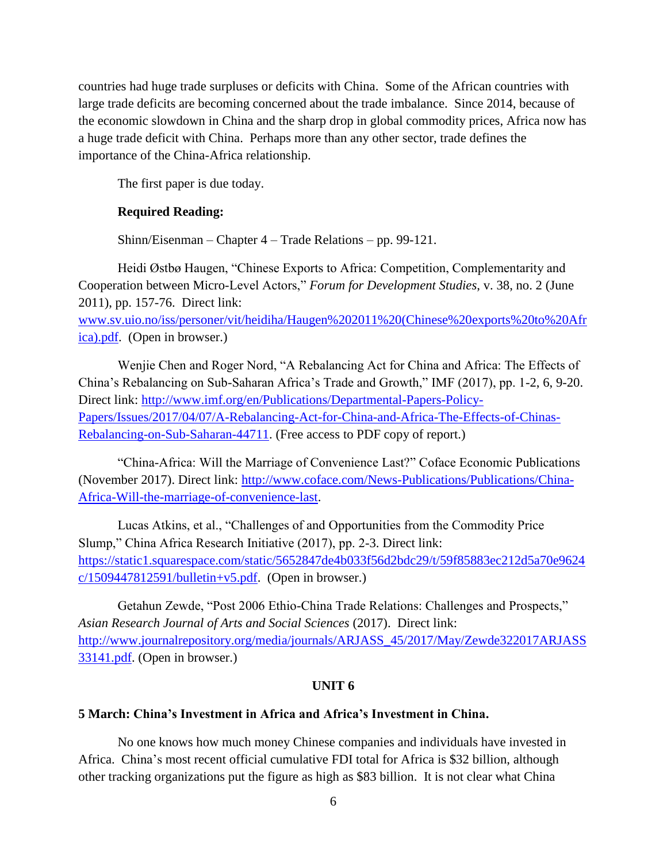countries had huge trade surpluses or deficits with China. Some of the African countries with large trade deficits are becoming concerned about the trade imbalance. Since 2014, because of the economic slowdown in China and the sharp drop in global commodity prices, Africa now has a huge trade deficit with China. Perhaps more than any other sector, trade defines the importance of the China-Africa relationship.

The first paper is due today.

### **Required Reading:**

Shinn/Eisenman – Chapter 4 – Trade Relations – pp. 99-121.

Heidi Østbø Haugen, "Chinese Exports to Africa: Competition, Complementarity and Cooperation between Micro-Level Actors," *Forum for Development Studies*, v. 38, no. 2 (June 2011), pp. 157-76. Direct link:

[www.sv.uio.no/iss/personer/vit/heidiha/Haugen%202011%20\(Chinese%20exports%20to%20Afr](http://www.sv.uio.no/iss/personer/vit/heidiha/Haugen%202011%20(Chinese%20exports%20to%20Africa).pdf) [ica\).pdf.](http://www.sv.uio.no/iss/personer/vit/heidiha/Haugen%202011%20(Chinese%20exports%20to%20Africa).pdf) (Open in browser.)

Wenjie Chen and Roger Nord, "A Rebalancing Act for China and Africa: The Effects of China's Rebalancing on Sub-Saharan Africa's Trade and Growth," IMF (2017), pp. 1-2, 6, 9-20. Direct link: [http://www.imf.org/en/Publications/Departmental-Papers-Policy-](http://www.imf.org/en/Publications/Departmental-Papers-Policy-Papers/Issues/2017/04/07/A-Rebalancing-Act-for-China-and-Africa-The-Effects-of-Chinas-Rebalancing-on-Sub-Saharan-44711)[Papers/Issues/2017/04/07/A-Rebalancing-Act-for-China-and-Africa-The-Effects-of-Chinas-](http://www.imf.org/en/Publications/Departmental-Papers-Policy-Papers/Issues/2017/04/07/A-Rebalancing-Act-for-China-and-Africa-The-Effects-of-Chinas-Rebalancing-on-Sub-Saharan-44711)[Rebalancing-on-Sub-Saharan-44711.](http://www.imf.org/en/Publications/Departmental-Papers-Policy-Papers/Issues/2017/04/07/A-Rebalancing-Act-for-China-and-Africa-The-Effects-of-Chinas-Rebalancing-on-Sub-Saharan-44711) (Free access to PDF copy of report.)

"China-Africa: Will the Marriage of Convenience Last?" Coface Economic Publications (November 2017). Direct link: [http://www.coface.com/News-Publications/Publications/China-](http://www.coface.com/News-Publications/Publications/China-Africa-Will-the-marriage-of-convenience-last)[Africa-Will-the-marriage-of-convenience-last.](http://www.coface.com/News-Publications/Publications/China-Africa-Will-the-marriage-of-convenience-last)

Lucas Atkins, et al., "Challenges of and Opportunities from the Commodity Price Slump," China Africa Research Initiative (2017), pp. 2-3. Direct link: [https://static1.squarespace.com/static/5652847de4b033f56d2bdc29/t/59f85883ec212d5a70e9624](https://static1.squarespace.com/static/5652847de4b033f56d2bdc29/t/59f85883ec212d5a70e9624c/1509447812591/bulletin+v5.pdf)  $c/1509447812591/bulletin+v5.pdf.$  (Open in browser.)

Getahun Zewde, "Post 2006 Ethio-China Trade Relations: Challenges and Prospects," *Asian Research Journal of Arts and Social Sciences* (2017). Direct link: [http://www.journalrepository.org/media/journals/ARJASS\\_45/2017/May/Zewde322017ARJASS](http://www.journalrepository.org/media/journals/ARJASS_45/2017/May/Zewde322017ARJASS33141.pdf) [33141.pdf.](http://www.journalrepository.org/media/journals/ARJASS_45/2017/May/Zewde322017ARJASS33141.pdf) (Open in browser.)

#### **UNIT 6**

#### **5 March: China's Investment in Africa and Africa's Investment in China.**

No one knows how much money Chinese companies and individuals have invested in Africa. China's most recent official cumulative FDI total for Africa is \$32 billion, although other tracking organizations put the figure as high as \$83 billion. It is not clear what China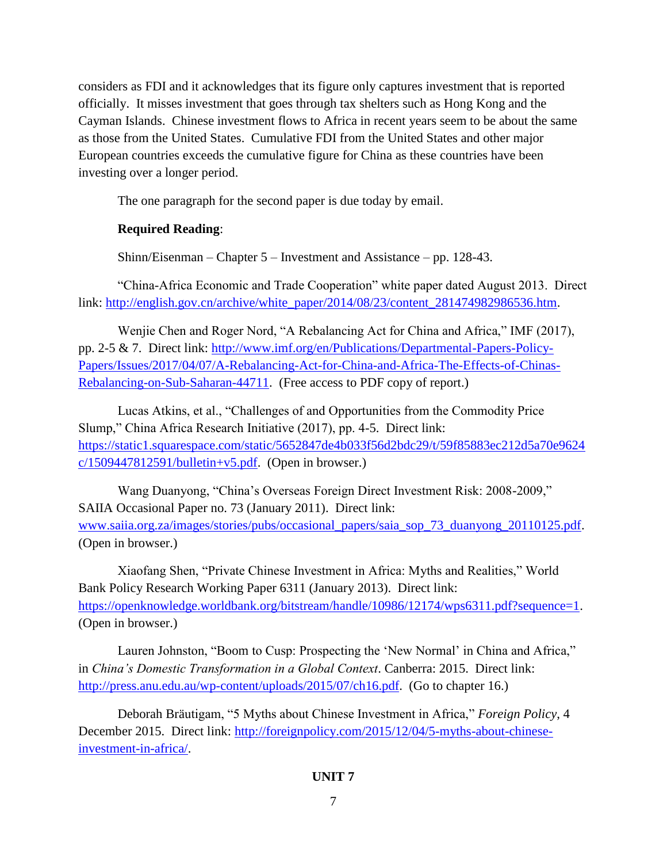considers as FDI and it acknowledges that its figure only captures investment that is reported officially. It misses investment that goes through tax shelters such as Hong Kong and the Cayman Islands. Chinese investment flows to Africa in recent years seem to be about the same as those from the United States. Cumulative FDI from the United States and other major European countries exceeds the cumulative figure for China as these countries have been investing over a longer period.

The one paragraph for the second paper is due today by email.

# **Required Reading**:

Shinn/Eisenman – Chapter 5 – Investment and Assistance – pp. 128-43.

"China-Africa Economic and Trade Cooperation" white paper dated August 2013. Direct link: [http://english.gov.cn/archive/white\\_paper/2014/08/23/content\\_281474982986536.htm.](http://english.gov.cn/archive/white_paper/2014/08/23/content_281474982986536.htm)

Wenjie Chen and Roger Nord, "A Rebalancing Act for China and Africa," IMF (2017), pp. 2-5 & 7. Direct link: [http://www.imf.org/en/Publications/Departmental-Papers-Policy-](http://www.imf.org/en/Publications/Departmental-Papers-Policy-Papers/Issues/2017/04/07/A-Rebalancing-Act-for-China-and-Africa-The-Effects-of-Chinas-Rebalancing-on-Sub-Saharan-44711)[Papers/Issues/2017/04/07/A-Rebalancing-Act-for-China-and-Africa-The-Effects-of-Chinas-](http://www.imf.org/en/Publications/Departmental-Papers-Policy-Papers/Issues/2017/04/07/A-Rebalancing-Act-for-China-and-Africa-The-Effects-of-Chinas-Rebalancing-on-Sub-Saharan-44711)[Rebalancing-on-Sub-Saharan-44711.](http://www.imf.org/en/Publications/Departmental-Papers-Policy-Papers/Issues/2017/04/07/A-Rebalancing-Act-for-China-and-Africa-The-Effects-of-Chinas-Rebalancing-on-Sub-Saharan-44711) (Free access to PDF copy of report.)

Lucas Atkins, et al., "Challenges of and Opportunities from the Commodity Price Slump," China Africa Research Initiative (2017), pp. 4-5. Direct link: [https://static1.squarespace.com/static/5652847de4b033f56d2bdc29/t/59f85883ec212d5a70e9624](https://static1.squarespace.com/static/5652847de4b033f56d2bdc29/t/59f85883ec212d5a70e9624c/1509447812591/bulletin+v5.pdf)  $c/1509447812591/bulletin+v5.pdf.$  (Open in browser.)

Wang Duanyong, "China's Overseas Foreign Direct Investment Risk: 2008-2009," SAIIA Occasional Paper no. 73 (January 2011). Direct link: [www.saiia.org.za/images/stories/pubs/occasional\\_papers/saia\\_sop\\_73\\_duanyong\\_20110125.pdf.](http://www.saiia.org.za/images/stories/pubs/occasional_papers/saia_sop_73_duanyong_20110125.pdf) (Open in browser.)

Xiaofang Shen, "Private Chinese Investment in Africa: Myths and Realities," World Bank Policy Research Working Paper 6311 (January 2013). Direct link: [https://openknowledge.worldbank.org/bitstream/handle/10986/12174/wps6311.pdf?sequence=1.](https://openknowledge.worldbank.org/bitstream/handle/10986/12174/wps6311.pdf?sequence=1) (Open in browser.)

Lauren Johnston, "Boom to Cusp: Prospecting the 'New Normal' in China and Africa," in *China's Domestic Transformation in a Global Context*. Canberra: 2015. Direct link: [http://press.anu.edu.au/wp-content/uploads/2015/07/ch16.pdf.](http://press.anu.edu.au/wp-content/uploads/2015/07/ch16.pdf) (Go to chapter 16.)

Deborah Bräutigam, "5 Myths about Chinese Investment in Africa," *Foreign Policy*, 4 December 2015. Direct link: [http://foreignpolicy.com/2015/12/04/5-myths-about-chinese](http://foreignpolicy.com/2015/12/04/5-myths-about-chinese-investment-in-africa/)[investment-in-africa/.](http://foreignpolicy.com/2015/12/04/5-myths-about-chinese-investment-in-africa/)

# **UNIT 7**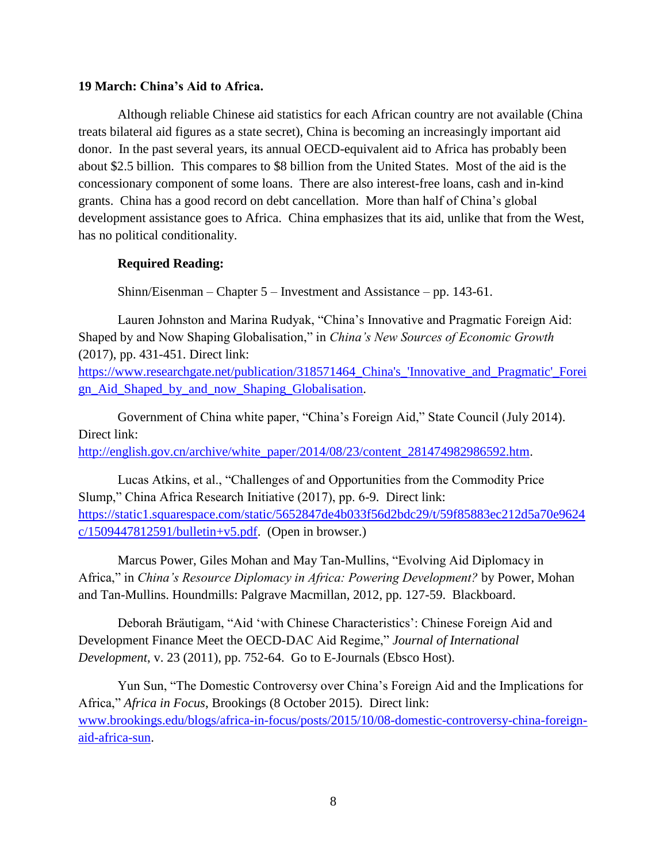### **19 March: China's Aid to Africa.**

Although reliable Chinese aid statistics for each African country are not available (China treats bilateral aid figures as a state secret), China is becoming an increasingly important aid donor. In the past several years, its annual OECD-equivalent aid to Africa has probably been about \$2.5 billion. This compares to \$8 billion from the United States. Most of the aid is the concessionary component of some loans. There are also interest-free loans, cash and in-kind grants. China has a good record on debt cancellation. More than half of China's global development assistance goes to Africa. China emphasizes that its aid, unlike that from the West, has no political conditionality.

# **Required Reading:**

Shinn/Eisenman – Chapter 5 – Investment and Assistance – pp. 143-61.

Lauren Johnston and Marina Rudyak, "China's Innovative and Pragmatic Foreign Aid: Shaped by and Now Shaping Globalisation," in *China's New Sources of Economic Growth* (2017), pp. 431-451. Direct link:

[https://www.researchgate.net/publication/318571464\\_China's\\_'Innovative\\_and\\_Pragmatic'\\_Forei](https://www.researchgate.net/publication/318571464_China) [gn\\_Aid\\_Shaped\\_by\\_and\\_now\\_Shaping\\_Globalisation.](https://www.researchgate.net/publication/318571464_China)

Government of China white paper, "China's Foreign Aid," State Council (July 2014). Direct link:

[http://english.gov.cn/archive/white\\_paper/2014/08/23/content\\_281474982986592.htm.](http://english.gov.cn/archive/white_paper/2014/08/23/content_281474982986592.htm)

Lucas Atkins, et al., "Challenges of and Opportunities from the Commodity Price Slump," China Africa Research Initiative (2017), pp. 6-9. Direct link: [https://static1.squarespace.com/static/5652847de4b033f56d2bdc29/t/59f85883ec212d5a70e9624](https://static1.squarespace.com/static/5652847de4b033f56d2bdc29/t/59f85883ec212d5a70e9624c/1509447812591/bulletin+v5.pdf)  $c/1509447812591/bulletin+v5.pdf.$  (Open in browser.)

Marcus Power, Giles Mohan and May Tan-Mullins, "Evolving Aid Diplomacy in Africa," in *China's Resource Diplomacy in Africa: Powering Development?* by Power, Mohan and Tan-Mullins. Houndmills: Palgrave Macmillan, 2012, pp. 127-59. Blackboard.

Deborah Bräutigam, "Aid 'with Chinese Characteristics': Chinese Foreign Aid and Development Finance Meet the OECD-DAC Aid Regime," *Journal of International Development*, v. 23 (2011), pp. 752-64. Go to E-Journals (Ebsco Host).

Yun Sun, "The Domestic Controversy over China's Foreign Aid and the Implications for Africa," *Africa in Focus*, Brookings (8 October 2015). Direct link: [www.brookings.edu/blogs/africa-in-focus/posts/2015/10/08-domestic-controversy-china-foreign](http://www.brookings.edu/blogs/africa-in-focus/posts/2015/10/08-domestic-controversy-china-foreign-aid-africa-sun)[aid-africa-sun.](http://www.brookings.edu/blogs/africa-in-focus/posts/2015/10/08-domestic-controversy-china-foreign-aid-africa-sun)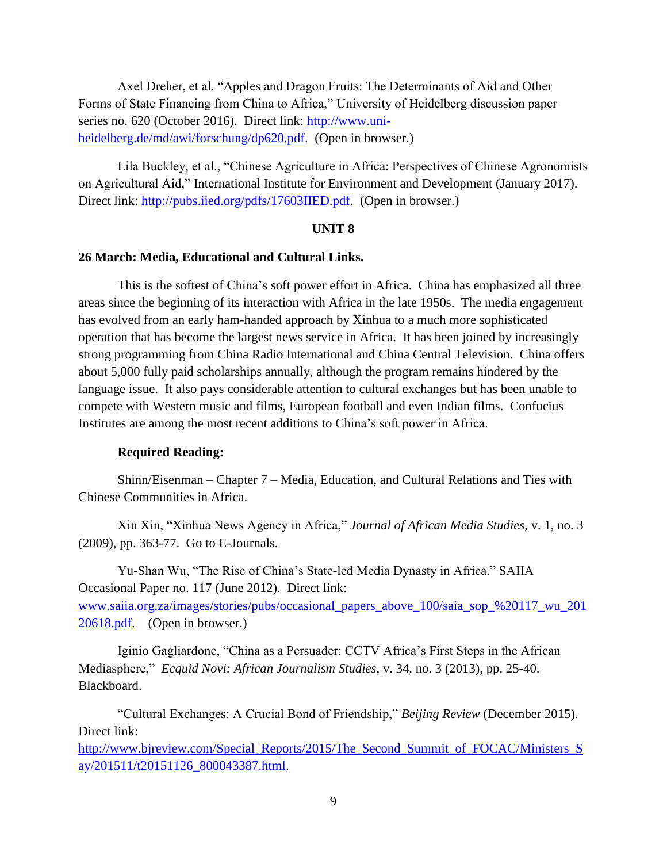Axel Dreher, et al. "Apples and Dragon Fruits: The Determinants of Aid and Other Forms of State Financing from China to Africa," University of Heidelberg discussion paper series no. 620 (October 2016). Direct link: [http://www.uni](http://www.uni-heidelberg.de/md/awi/forschung/dp620.pdf)[heidelberg.de/md/awi/forschung/dp620.pdf.](http://www.uni-heidelberg.de/md/awi/forschung/dp620.pdf) (Open in browser.)

Lila Buckley, et al., "Chinese Agriculture in Africa: Perspectives of Chinese Agronomists on Agricultural Aid," International Institute for Environment and Development (January 2017). Direct link: [http://pubs.iied.org/pdfs/17603IIED.pdf.](http://pubs.iied.org/pdfs/17603IIED.pdf) (Open in browser.)

#### **UNIT 8**

#### **26 March: Media, Educational and Cultural Links.**

This is the softest of China's soft power effort in Africa. China has emphasized all three areas since the beginning of its interaction with Africa in the late 1950s. The media engagement has evolved from an early ham-handed approach by Xinhua to a much more sophisticated operation that has become the largest news service in Africa. It has been joined by increasingly strong programming from China Radio International and China Central Television. China offers about 5,000 fully paid scholarships annually, although the program remains hindered by the language issue. It also pays considerable attention to cultural exchanges but has been unable to compete with Western music and films, European football and even Indian films. Confucius Institutes are among the most recent additions to China's soft power in Africa.

#### **Required Reading:**

Shinn/Eisenman – Chapter 7 – Media, Education, and Cultural Relations and Ties with Chinese Communities in Africa.

Xin Xin, "Xinhua News Agency in Africa," *Journal of African Media Studies*, v. 1, no. 3 (2009), pp. 363-77. Go to E-Journals.

Yu-Shan Wu, "The Rise of China's State-led Media Dynasty in Africa." SAIIA Occasional Paper no. 117 (June 2012). Direct link: [www.saiia.org.za/images/stories/pubs/occasional\\_papers\\_above\\_100/saia\\_sop\\_%20117\\_wu\\_201](http://www.saiia.org.za/images/stories/pubs/occasional_papers_above_100/saia_sop_%20117_wu_20120618.pdf) [20618.pdf.](http://www.saiia.org.za/images/stories/pubs/occasional_papers_above_100/saia_sop_%20117_wu_20120618.pdf) (Open in browser.)

Iginio Gagliardone, "China as a Persuader: CCTV Africa's First Steps in the African Mediasphere," *Ecquid Novi: African Journalism Studies*, v. 34, no. 3 (2013), pp. 25-40. Blackboard.

"Cultural Exchanges: A Crucial Bond of Friendship," *Beijing Review* (December 2015). Direct link:

[http://www.bjreview.com/Special\\_Reports/2015/The\\_Second\\_Summit\\_of\\_FOCAC/Ministers\\_S](http://www.bjreview.com/Special_Reports/2015/The_Second_Summit_of_FOCAC/Ministers_Say/201511/t20151126_800043387.html) [ay/201511/t20151126\\_800043387.html.](http://www.bjreview.com/Special_Reports/2015/The_Second_Summit_of_FOCAC/Ministers_Say/201511/t20151126_800043387.html)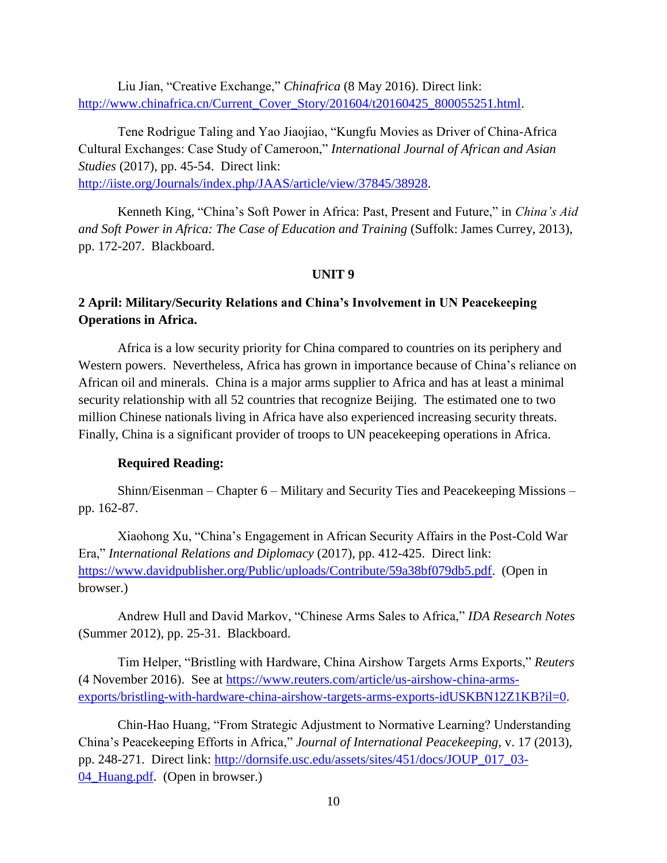Liu Jian, "Creative Exchange," *Chinafrica* (8 May 2016). Direct link: [http://www.chinafrica.cn/Current\\_Cover\\_Story/201604/t20160425\\_800055251.html.](http://www.chinafrica.cn/Current_Cover_Story/201604/t20160425_800055251.html)

Tene Rodrigue Taling and Yao Jiaojiao, "Kungfu Movies as Driver of China-Africa Cultural Exchanges: Case Study of Cameroon," *International Journal of African and Asian Studies* (2017), pp. 45-54. Direct link: [http://iiste.org/Journals/index.php/JAAS/article/view/37845/38928.](http://iiste.org/Journals/index.php/JAAS/article/view/37845/38928)

Kenneth King, "China's Soft Power in Africa: Past, Present and Future," in *China's Aid and Soft Power in Africa: The Case of Education and Training* (Suffolk: James Currey, 2013), pp. 172-207. Blackboard.

## **UNIT 9**

# **2 April: Military/Security Relations and China's Involvement in UN Peacekeeping Operations in Africa.**

Africa is a low security priority for China compared to countries on its periphery and Western powers. Nevertheless, Africa has grown in importance because of China's reliance on African oil and minerals. China is a major arms supplier to Africa and has at least a minimal security relationship with all 52 countries that recognize Beijing. The estimated one to two million Chinese nationals living in Africa have also experienced increasing security threats. Finally, China is a significant provider of troops to UN peacekeeping operations in Africa.

#### **Required Reading:**

Shinn/Eisenman – Chapter 6 – Military and Security Ties and Peacekeeping Missions – pp. 162-87.

Xiaohong Xu, "China's Engagement in African Security Affairs in the Post-Cold War Era," *International Relations and Diplomacy* (2017), pp. 412-425. Direct link: [https://www.davidpublisher.org/Public/uploads/Contribute/59a38bf079db5.pdf.](https://www.davidpublisher.org/Public/uploads/Contribute/59a38bf079db5.pdf) (Open in browser.)

Andrew Hull and David Markov, "Chinese Arms Sales to Africa," *IDA Research Notes* (Summer 2012), pp. 25-31. Blackboard.

Tim Helper, "Bristling with Hardware, China Airshow Targets Arms Exports," *Reuters*  (4 November 2016). See at [https://www.reuters.com/article/us-airshow-china-arms](https://www.reuters.com/article/us-airshow-china-arms-exports/bristling-with-hardware-china-airshow-targets-arms-exports-idUSKBN12Z1KB?il=0)[exports/bristling-with-hardware-china-airshow-targets-arms-exports-idUSKBN12Z1KB?il=0.](https://www.reuters.com/article/us-airshow-china-arms-exports/bristling-with-hardware-china-airshow-targets-arms-exports-idUSKBN12Z1KB?il=0)

Chin-Hao Huang, "From Strategic Adjustment to Normative Learning? Understanding China's Peacekeeping Efforts in Africa," *Journal of International Peacekeeping*, v. 17 (2013), pp. 248-271. Direct link: [http://dornsife.usc.edu/assets/sites/451/docs/JOUP\\_017\\_03-](http://dornsife.usc.edu/assets/sites/451/docs/JOUP_017_03-04_Huang.pdf) [04\\_Huang.pdf.](http://dornsife.usc.edu/assets/sites/451/docs/JOUP_017_03-04_Huang.pdf) (Open in browser.)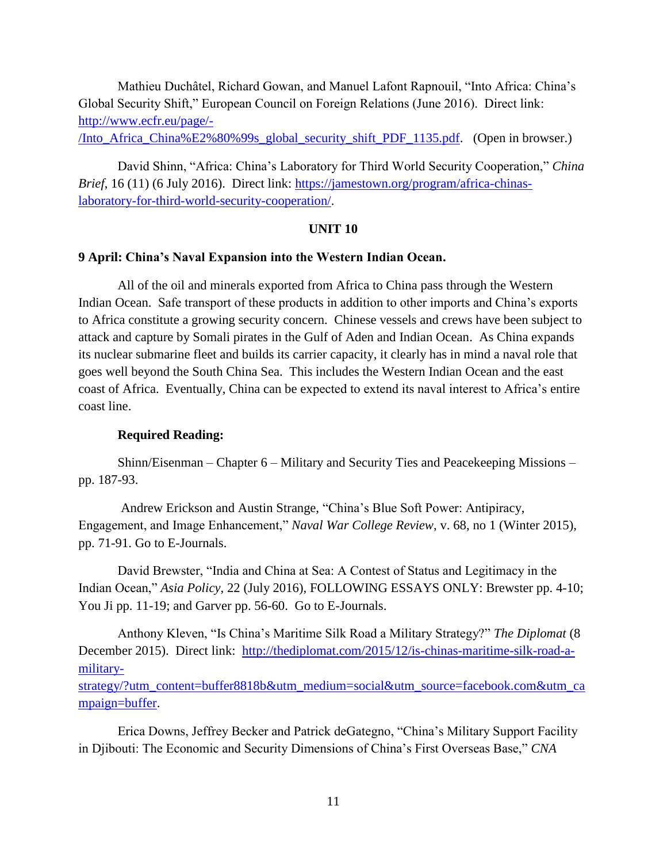Mathieu Duchâtel, Richard Gowan, and Manuel Lafont Rapnouil, "Into Africa: China's Global Security Shift," European Council on Foreign Relations (June 2016). Direct link: [http://www.ecfr.eu/page/-](http://www.ecfr.eu/page/-/Into_Africa_China%E2%80%99s_global_security_shift_PDF_1135.pdf)

[/Into\\_Africa\\_China%E2%80%99s\\_global\\_security\\_shift\\_PDF\\_1135.pdf.](http://www.ecfr.eu/page/-/Into_Africa_China%E2%80%99s_global_security_shift_PDF_1135.pdf) (Open in browser.)

David Shinn, "Africa: China's Laboratory for Third World Security Cooperation," *China Brief*, 16 (11) (6 July 2016). Direct link: [https://jamestown.org/program/africa-chinas](https://jamestown.org/program/africa-chinas-laboratory-for-third-world-security-cooperation/)[laboratory-for-third-world-security-cooperation/.](https://jamestown.org/program/africa-chinas-laboratory-for-third-world-security-cooperation/)

#### **UNIT 10**

## **9 April: China's Naval Expansion into the Western Indian Ocean.**

All of the oil and minerals exported from Africa to China pass through the Western Indian Ocean. Safe transport of these products in addition to other imports and China's exports to Africa constitute a growing security concern. Chinese vessels and crews have been subject to attack and capture by Somali pirates in the Gulf of Aden and Indian Ocean. As China expands its nuclear submarine fleet and builds its carrier capacity, it clearly has in mind a naval role that goes well beyond the South China Sea. This includes the Western Indian Ocean and the east coast of Africa. Eventually, China can be expected to extend its naval interest to Africa's entire coast line.

### **Required Reading:**

Shinn/Eisenman – Chapter 6 – Military and Security Ties and Peacekeeping Missions – pp. 187-93.

Andrew Erickson and Austin Strange, "China's Blue Soft Power: Antipiracy, Engagement, and Image Enhancement," *Naval War College Review*, v. 68, no 1 (Winter 2015), pp. 71-91. Go to E-Journals.

David Brewster, "India and China at Sea: A Contest of Status and Legitimacy in the Indian Ocean," *Asia Policy*, 22 (July 2016), FOLLOWING ESSAYS ONLY: Brewster pp. 4-10; You Ji pp. 11-19; and Garver pp. 56-60. Go to E-Journals.

Anthony Kleven, "Is China's Maritime Silk Road a Military Strategy?" *The Diplomat* (8 December 2015). Direct link: [http://thediplomat.com/2015/12/is-chinas-maritime-silk-road-a](http://thediplomat.com/2015/12/is-chinas-maritime-silk-road-a-military-strategy/?utm_content=buffer8818b&utm_medium=social&utm_source=facebook.com&utm_campaign=buffer)[military-](http://thediplomat.com/2015/12/is-chinas-maritime-silk-road-a-military-strategy/?utm_content=buffer8818b&utm_medium=social&utm_source=facebook.com&utm_campaign=buffer)

[strategy/?utm\\_content=buffer8818b&utm\\_medium=social&utm\\_source=facebook.com&utm\\_ca](http://thediplomat.com/2015/12/is-chinas-maritime-silk-road-a-military-strategy/?utm_content=buffer8818b&utm_medium=social&utm_source=facebook.com&utm_campaign=buffer) [mpaign=buffer.](http://thediplomat.com/2015/12/is-chinas-maritime-silk-road-a-military-strategy/?utm_content=buffer8818b&utm_medium=social&utm_source=facebook.com&utm_campaign=buffer)

Erica Downs, Jeffrey Becker and Patrick deGategno, "China's Military Support Facility in Djibouti: The Economic and Security Dimensions of China's First Overseas Base," *CNA*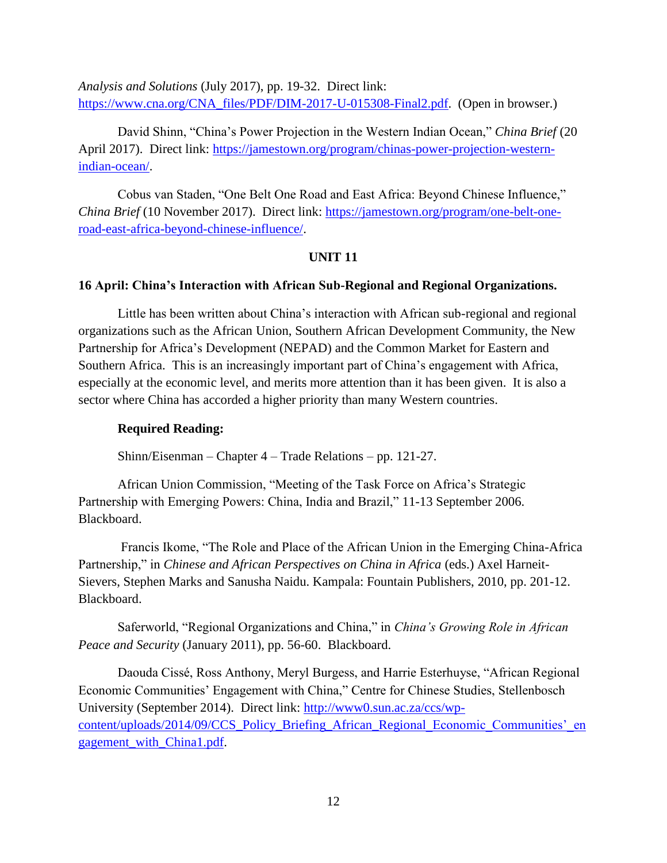*Analysis and Solutions* (July 2017), pp. 19-32. Direct link: [https://www.cna.org/CNA\\_files/PDF/DIM-2017-U-015308-Final2.pdf.](https://www.cna.org/CNA_files/PDF/DIM-2017-U-015308-Final2.pdf) (Open in browser.)

David Shinn, "China's Power Projection in the Western Indian Ocean," *China Brief* (20 April 2017). Direct link: [https://jamestown.org/program/chinas-power-projection-western](https://jamestown.org/program/chinas-power-projection-western-indian-ocean/)[indian-ocean/.](https://jamestown.org/program/chinas-power-projection-western-indian-ocean/)

Cobus van Staden, "One Belt One Road and East Africa: Beyond Chinese Influence," *China Brief* (10 November 2017). Direct link: [https://jamestown.org/program/one-belt-one](https://jamestown.org/program/one-belt-one-road-east-africa-beyond-chinese-influence/)[road-east-africa-beyond-chinese-influence/.](https://jamestown.org/program/one-belt-one-road-east-africa-beyond-chinese-influence/)

## **UNIT 11**

#### **16 April: China's Interaction with African Sub-Regional and Regional Organizations.**

Little has been written about China's interaction with African sub-regional and regional organizations such as the African Union, Southern African Development Community, the New Partnership for Africa's Development (NEPAD) and the Common Market for Eastern and Southern Africa. This is an increasingly important part of China's engagement with Africa, especially at the economic level, and merits more attention than it has been given. It is also a sector where China has accorded a higher priority than many Western countries.

#### **Required Reading:**

Shinn/Eisenman – Chapter 4 – Trade Relations – pp. 121-27.

African Union Commission, "Meeting of the Task Force on Africa's Strategic Partnership with Emerging Powers: China, India and Brazil," 11-13 September 2006. Blackboard.

Francis Ikome, "The Role and Place of the African Union in the Emerging China-Africa Partnership," in *Chinese and African Perspectives on China in Africa* (eds.) Axel Harneit-Sievers, Stephen Marks and Sanusha Naidu. Kampala: Fountain Publishers, 2010, pp. 201-12. Blackboard.

Saferworld, "Regional Organizations and China," in *China's Growing Role in African Peace and Security* (January 2011), pp. 56-60. Blackboard.

Daouda Cissé, Ross Anthony, Meryl Burgess, and Harrie Esterhuyse, "African Regional Economic Communities' Engagement with China," Centre for Chinese Studies, Stellenbosch University (September 2014). Direct link: [http://www0.sun.ac.za/ccs/wp](http://www0.sun.ac.za/ccs/wp-content/uploads/2014/09/CCS_Policy_Briefing_African_Regional_Economic_Communities)[content/uploads/2014/09/CCS\\_Policy\\_Briefing\\_African\\_Regional\\_Economic\\_Communities'\\_en](http://www0.sun.ac.za/ccs/wp-content/uploads/2014/09/CCS_Policy_Briefing_African_Regional_Economic_Communities) [gagement\\_with\\_China1.pdf.](http://www0.sun.ac.za/ccs/wp-content/uploads/2014/09/CCS_Policy_Briefing_African_Regional_Economic_Communities)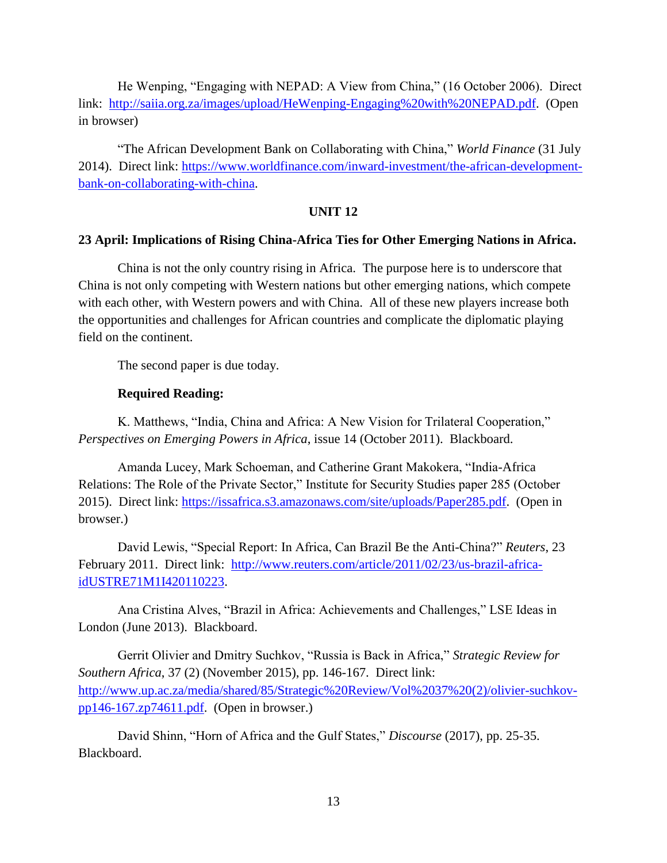He Wenping, "Engaging with NEPAD: A View from China," (16 October 2006). Direct link: [http://saiia.org.za/images/upload/HeWenping-Engaging%20with%20NEPAD.pdf.](http://saiia.org.za/images/upload/HeWenping-Engaging%20with%20NEPAD.pdf) (Open in browser)

"The African Development Bank on Collaborating with China," *World Finance* (31 July 2014). Direct link: [https://www.worldfinance.com/inward-investment/the-african-development](https://www.worldfinance.com/inward-investment/the-african-development-bank-on-collaborating-with-china)[bank-on-collaborating-with-china.](https://www.worldfinance.com/inward-investment/the-african-development-bank-on-collaborating-with-china)

## **UNIT 12**

#### **23 April: Implications of Rising China-Africa Ties for Other Emerging Nations in Africa.**

China is not the only country rising in Africa. The purpose here is to underscore that China is not only competing with Western nations but other emerging nations, which compete with each other, with Western powers and with China. All of these new players increase both the opportunities and challenges for African countries and complicate the diplomatic playing field on the continent.

The second paper is due today.

#### **Required Reading:**

K. Matthews, "India, China and Africa: A New Vision for Trilateral Cooperation," *Perspectives on Emerging Powers in Africa*, issue 14 (October 2011). Blackboard.

Amanda Lucey, Mark Schoeman, and Catherine Grant Makokera, "India-Africa Relations: The Role of the Private Sector," Institute for Security Studies paper 285 (October 2015). Direct link: [https://issafrica.s3.amazonaws.com/site/uploads/Paper285.pdf.](https://issafrica.s3.amazonaws.com/site/uploads/Paper285.pdf) (Open in browser.)

David Lewis, "Special Report: In Africa, Can Brazil Be the Anti-China?" *Reuters*, 23 February 2011. Direct link: [http://www.reuters.com/article/2011/02/23/us-brazil-africa](http://www.reuters.com/article/2011/02/23/us-brazil-africa-idUSTRE71M1I420110223)[idUSTRE71M1I420110223.](http://www.reuters.com/article/2011/02/23/us-brazil-africa-idUSTRE71M1I420110223)

Ana Cristina Alves, "Brazil in Africa: Achievements and Challenges," LSE Ideas in London (June 2013). Blackboard.

Gerrit Olivier and Dmitry Suchkov, "Russia is Back in Africa," *Strategic Review for Southern Africa*, 37 (2) (November 2015), pp. 146-167. Direct link: [http://www.up.ac.za/media/shared/85/Strategic%20Review/Vol%2037%20\(2\)/olivier-suchkov](http://www.up.ac.za/media/shared/85/Strategic%20Review/Vol%2037%20(2)/olivier-suchkov-pp146-167.zp74611.pdf)[pp146-167.zp74611.pdf.](http://www.up.ac.za/media/shared/85/Strategic%20Review/Vol%2037%20(2)/olivier-suchkov-pp146-167.zp74611.pdf) (Open in browser.)

David Shinn, "Horn of Africa and the Gulf States," *Discourse* (2017), pp. 25-35. Blackboard.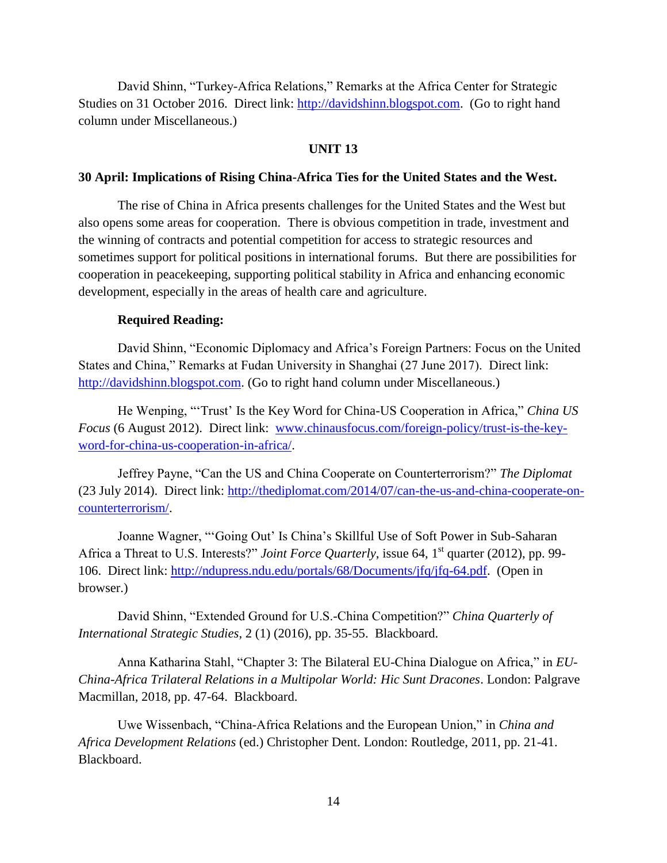David Shinn, "Turkey-Africa Relations," Remarks at the Africa Center for Strategic Studies on 31 October 2016. Direct link: [http://davidshinn.blogspot.com.](http://davidshinn.blogspot.com/) (Go to right hand column under Miscellaneous.)

#### **UNIT 13**

#### **30 April: Implications of Rising China-Africa Ties for the United States and the West.**

The rise of China in Africa presents challenges for the United States and the West but also opens some areas for cooperation. There is obvious competition in trade, investment and the winning of contracts and potential competition for access to strategic resources and sometimes support for political positions in international forums. But there are possibilities for cooperation in peacekeeping, supporting political stability in Africa and enhancing economic development, especially in the areas of health care and agriculture.

#### **Required Reading:**

David Shinn, "Economic Diplomacy and Africa's Foreign Partners: Focus on the United States and China," Remarks at Fudan University in Shanghai (27 June 2017). Direct link: [http://davidshinn.blogspot.com.](http://davidshinn.blogspot.com/) (Go to right hand column under Miscellaneous.)

He Wenping, "'Trust' Is the Key Word for China-US Cooperation in Africa," *China US Focus* (6 August 2012). Direct link: [www.chinausfocus.com/foreign-policy/trust-is-the-key](http://www.chinausfocus.com/foreign-policy/trust-is-the-key-word-for-china-us-cooperation-in-africa/)[word-for-china-us-cooperation-in-africa/.](http://www.chinausfocus.com/foreign-policy/trust-is-the-key-word-for-china-us-cooperation-in-africa/)

Jeffrey Payne, "Can the US and China Cooperate on Counterterrorism?" *The Diplomat* (23 July 2014). Direct link: [http://thediplomat.com/2014/07/can-the-us-and-china-cooperate-on](http://thediplomat.com/2014/07/can-the-us-and-china-cooperate-on-counterterrorism/)[counterterrorism/.](http://thediplomat.com/2014/07/can-the-us-and-china-cooperate-on-counterterrorism/)

Joanne Wagner, "'Going Out' Is China's Skillful Use of Soft Power in Sub-Saharan Africa a Threat to U.S. Interests?" *Joint Force Quarterly*, issue 64, 1<sup>st</sup> quarter (2012), pp. 99-106. Direct link: [http://ndupress.ndu.edu/portals/68/Documents/jfq/jfq-64.pdf.](http://ndupress.ndu.edu/portals/68/Documents/jfq/jfq-64.pdf) (Open in browser.)

David Shinn, "Extended Ground for U.S.-China Competition?" *China Quarterly of International Strategic Studies*, 2 (1) (2016), pp. 35-55. Blackboard.

Anna Katharina Stahl, "Chapter 3: The Bilateral EU-China Dialogue on Africa," in *EU-China-Africa Trilateral Relations in a Multipolar World: Hic Sunt Dracones*. London: Palgrave Macmillan, 2018, pp. 47-64. Blackboard.

Uwe Wissenbach, "China-Africa Relations and the European Union," in *China and Africa Development Relations* (ed.) Christopher Dent. London: Routledge, 2011, pp. 21-41. Blackboard.